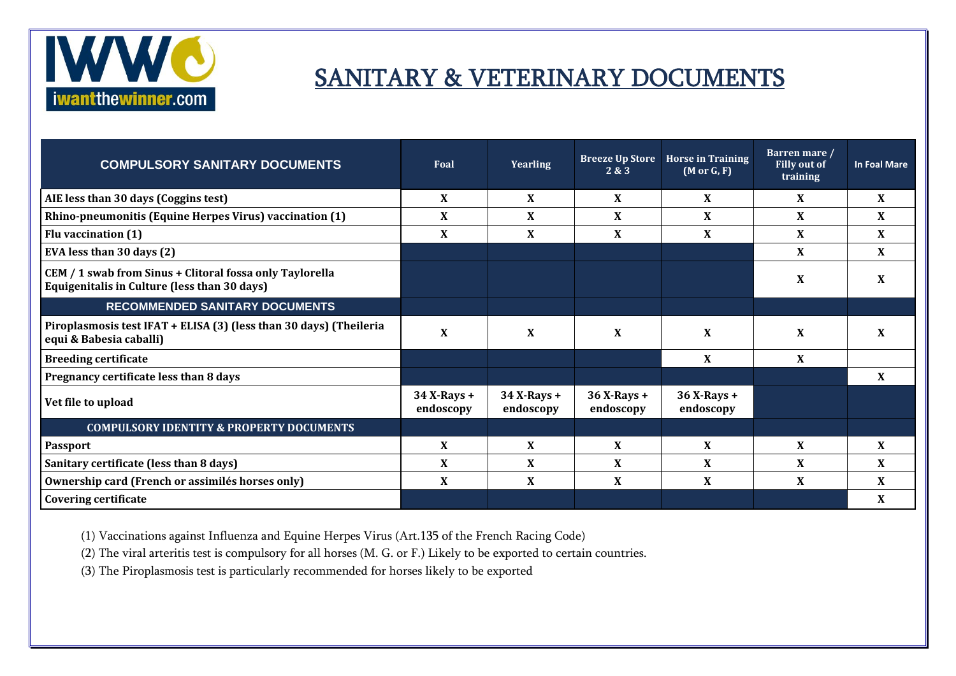

## SANITARY & VETERINARY DOCUMENTS

| <b>COMPULSORY SANITARY DOCUMENTS</b>                                                                     | Foal                     | Yearling                 | <b>Breeze Up Store</b><br>2 & 3 | <b>Horse in Training</b><br>$(M \text{ or } G, F)$ | Barren mare /<br><b>Filly out of</b><br>training | <b>In Foal Mare</b> |
|----------------------------------------------------------------------------------------------------------|--------------------------|--------------------------|---------------------------------|----------------------------------------------------|--------------------------------------------------|---------------------|
| AIE less than 30 days (Coggins test)                                                                     | X                        | X                        | X                               | X                                                  | X                                                | X                   |
| Rhino-pneumonitis (Equine Herpes Virus) vaccination (1)                                                  | X                        | X                        | X                               | X                                                  | X                                                | X                   |
| Flu vaccination (1)                                                                                      | X                        | X                        | X                               | X                                                  | X                                                | X                   |
| EVA less than 30 days (2)                                                                                |                          |                          |                                 |                                                    | X                                                | X                   |
| CEM / 1 swab from Sinus + Clitoral fossa only Taylorella<br>Equigenitalis in Culture (less than 30 days) |                          |                          |                                 |                                                    | X                                                | X                   |
| RECOMMENDED SANITARY DOCUMENTS                                                                           |                          |                          |                                 |                                                    |                                                  |                     |
| Piroplasmosis test IFAT + ELISA (3) (less than 30 days) (Theileria<br>equi & Babesia caballi)            | X                        | X                        | X                               | X                                                  | $\mathbf{x}$                                     | X                   |
| <b>Breeding certificate</b>                                                                              |                          |                          |                                 | X                                                  | X                                                |                     |
| Pregnancy certificate less than 8 days                                                                   |                          |                          |                                 |                                                    |                                                  | X                   |
| Vet file to upload                                                                                       | 34 X-Rays +<br>endoscopy | 34 X-Rays +<br>endoscopy | 36 X-Rays +<br>endoscopy        | 36 X-Rays +<br>endoscopy                           |                                                  |                     |
| <b>COMPULSORY IDENTITY &amp; PROPERTY DOCUMENTS</b>                                                      |                          |                          |                                 |                                                    |                                                  |                     |
| <b>Passport</b>                                                                                          | X                        | X                        | X                               | X                                                  | X                                                | X                   |
| Sanitary certificate (less than 8 days)                                                                  | X                        | X                        | X                               | X                                                  | X                                                | X                   |
| Ownership card (French or assimilés horses only)                                                         | X                        | X                        | $\mathbf{x}$                    | X                                                  | X                                                | X                   |
| <b>Covering certificate</b>                                                                              |                          |                          |                                 |                                                    |                                                  | X                   |

(1) Vaccinations against Influenza and Equine Herpes Virus (Art.135 of the French Racing Code)

(2) The viral arteritis test is compulsory for all horses (M. G. or F.) Likely to be exported to certain countries.

(3) The Piroplasmosis test is particularly recommended for horses likely to be exported